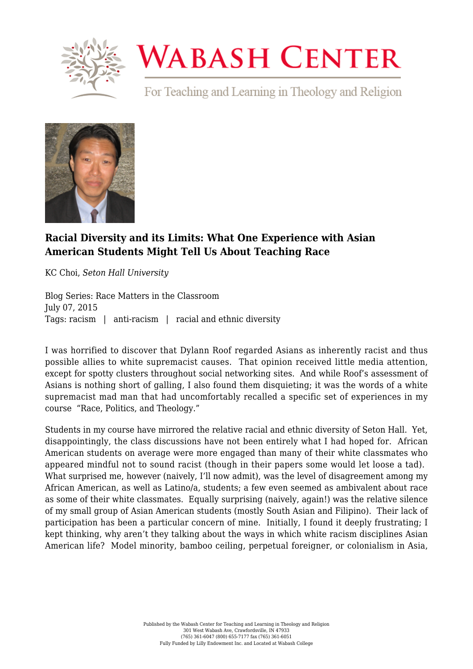

## **WABASH CENTER**

For Teaching and Learning in Theology and Religion



## **[Racial Diversity and its Limits: What One Experience with Asian](https://www.wabashcenter.wabash.edu/2015/07/racial-diversity-and-its-limits-what-one-experience-with-asian-american-students-might-tell-us-about-teaching-race/) [American Students Might Tell Us About Teaching Race](https://www.wabashcenter.wabash.edu/2015/07/racial-diversity-and-its-limits-what-one-experience-with-asian-american-students-might-tell-us-about-teaching-race/)**

KC Choi, *Seton Hall University*

Blog Series: Race Matters in the Classroom July 07, 2015 Tags: racism | anti-racism | racial and ethnic diversity

I was horrified to discover that Dylann Roof regarded Asians as inherently racist and thus possible allies to white supremacist causes. That opinion received little media attention, except for spotty clusters throughout social networking sites. And while Roof's assessment of Asians is nothing short of galling, I also found them disquieting; it was the words of a white supremacist mad man that had uncomfortably recalled a specific set of experiences in my course "Race, Politics, and Theology."

Students in my course have mirrored the relative racial and ethnic diversity of Seton Hall. Yet, disappointingly, the class discussions have not been entirely what I had hoped for. African American students on average were more engaged than many of their white classmates who appeared mindful not to sound racist (though in their papers some would let loose a tad). What surprised me, however (naively, I'll now admit), was the level of disagreement among my African American, as well as Latino/a, students; a few even seemed as ambivalent about race as some of their white classmates. Equally surprising (naively, again!) was the relative silence of my small group of Asian American students (mostly South Asian and Filipino). Their lack of participation has been a particular concern of mine. Initially, I found it deeply frustrating; I kept thinking, why aren't they talking about the ways in which white racism disciplines Asian American life? Model minority, bamboo ceiling, perpetual foreigner, or colonialism in Asia,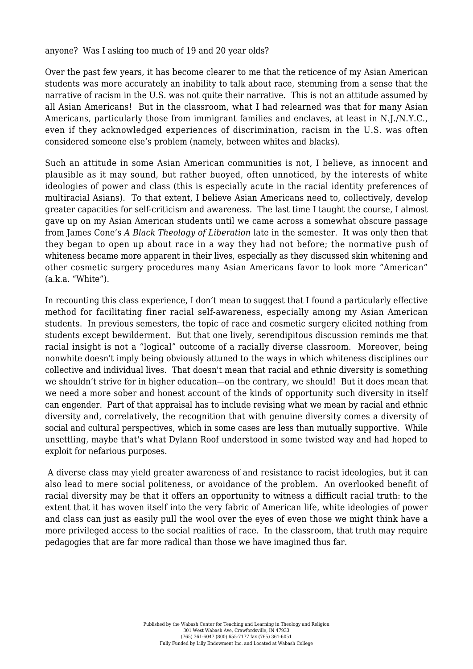## anyone? Was I asking too much of 19 and 20 year olds?

Over the past few years, it has become clearer to me that the reticence of my Asian American students was more accurately an inability to talk about race, stemming from a sense that the narrative of racism in the U.S. was not quite their narrative. This is not an attitude assumed by all Asian Americans! But in the classroom, what I had relearned was that for many Asian Americans, particularly those from immigrant families and enclaves, at least in N.J./N.Y.C., even if they acknowledged experiences of discrimination, racism in the U.S. was often considered someone else's problem (namely, between whites and blacks).

Such an attitude in some Asian American communities is not, I believe, as innocent and plausible as it may sound, but rather buoyed, often unnoticed, by the interests of white ideologies of power and class (this is especially acute in the racial identity preferences of multiracial Asians). To that extent, I believe Asian Americans need to, collectively, develop greater capacities for self-criticism and awareness. The last time I taught the course, I almost gave up on my Asian American students until we came across a somewhat obscure passage from James Cone's *A Black Theology of Liberation* late in the semester. It was only then that they began to open up about race in a way they had not before; the normative push of whiteness became more apparent in their lives, especially as they discussed skin whitening and other cosmetic surgery procedures many Asian Americans favor to look more "American"  $(a.k.a.$  "White").

In recounting this class experience, I don't mean to suggest that I found a particularly effective method for facilitating finer racial self-awareness, especially among my Asian American students. In previous semesters, the topic of race and cosmetic surgery elicited nothing from students except bewilderment. But that one lively, serendipitous discussion reminds me that racial insight is not a "logical" outcome of a racially diverse classroom. Moreover, being nonwhite doesn't imply being obviously attuned to the ways in which whiteness disciplines our collective and individual lives. That doesn't mean that racial and ethnic diversity is something we shouldn't strive for in higher education—on the contrary, we should! But it does mean that we need a more sober and honest account of the kinds of opportunity such diversity in itself can engender. Part of that appraisal has to include revising what we mean by racial and ethnic diversity and, correlatively, the recognition that with genuine diversity comes a diversity of social and cultural perspectives, which in some cases are less than mutually supportive. While unsettling, maybe that's what Dylann Roof understood in some twisted way and had hoped to exploit for nefarious purposes.

 A diverse class may yield greater awareness of and resistance to racist ideologies, but it can also lead to mere social politeness, or avoidance of the problem. An overlooked benefit of racial diversity may be that it offers an opportunity to witness a difficult racial truth: to the extent that it has woven itself into the very fabric of American life, white ideologies of power and class can just as easily pull the wool over the eyes of even those we might think have a more privileged access to the social realities of race. In the classroom, that truth may require pedagogies that are far more radical than those we have imagined thus far.